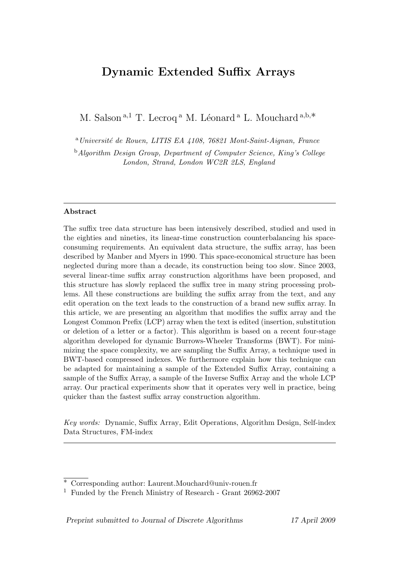# Dynamic Extended Suffix Arrays

M. Salson  $a,1$  T. Lecroq  $a$  M. Léonard  $a$  L. Mouchard  $a,b,*$ 

<sup>a</sup> Université de Rouen, LITIS EA 4108, 76821 Mont-Saint-Aignan, France

<sup>b</sup> Algorithm Design Group, Department of Computer Science, King's College London, Strand, London WC2R 2LS, England

### Abstract

The suffix tree data structure has been intensively described, studied and used in the eighties and nineties, its linear-time construction counterbalancing his spaceconsuming requirements. An equivalent data structure, the suffix array, has been described by Manber and Myers in 1990. This space-economical structure has been neglected during more than a decade, its construction being too slow. Since 2003, several linear-time suffix array construction algorithms have been proposed, and this structure has slowly replaced the suffix tree in many string processing problems. All these constructions are building the suffix array from the text, and any edit operation on the text leads to the construction of a brand new suffix array. In this article, we are presenting an algorithm that modifies the suffix array and the Longest Common Prefix (LCP) array when the text is edited (insertion, substitution or deletion of a letter or a factor). This algorithm is based on a recent four-stage algorithm developed for dynamic Burrows-Wheeler Transforms (BWT). For minimizing the space complexity, we are sampling the Suffix Array, a technique used in BWT-based compressed indexes. We furthermore explain how this technique can be adapted for maintaining a sample of the Extended Suffix Array, containing a sample of the Suffix Array, a sample of the Inverse Suffix Array and the whole LCP array. Our practical experiments show that it operates very well in practice, being quicker than the fastest suffix array construction algorithm.

Key words: Dynamic, Suffix Array, Edit Operations, Algorithm Design, Self-index Data Structures, FM-index

Preprint submitted to Journal of Discrete Algorithms 17 April 2009

<sup>∗</sup> Corresponding author: Laurent.Mouchard@univ-rouen.fr

<sup>1</sup> Funded by the French Ministry of Research - Grant 26962-2007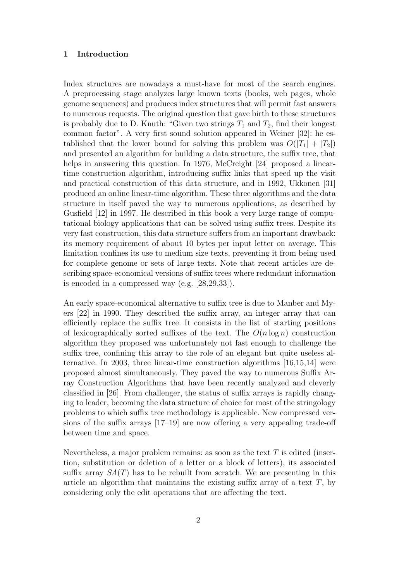## 1 Introduction

Index structures are nowadays a must-have for most of the search engines. A preprocessing stage analyzes large known texts (books, web pages, whole genome sequences) and produces index structures that will permit fast answers to numerous requests. The original question that gave birth to these structures is probably due to D. Knuth: "Given two strings  $T_1$  and  $T_2$ , find their longest common factor". A very first sound solution appeared in Weiner [32]: he established that the lower bound for solving this problem was  $O(|T_1| + |T_2|)$ and presented an algorithm for building a data structure, the suffix tree, that helps in answering this question. In 1976, McCreight [24] proposed a lineartime construction algorithm, introducing suffix links that speed up the visit and practical construction of this data structure, and in 1992, Ukkonen [31] produced an online linear-time algorithm. These three algorithms and the data structure in itself paved the way to numerous applications, as described by Gusfield [12] in 1997. He described in this book a very large range of computational biology applications that can be solved using suffix trees. Despite its very fast construction, this data structure suffers from an important drawback: its memory requirement of about 10 bytes per input letter on average. This limitation confines its use to medium size texts, preventing it from being used for complete genome or sets of large texts. Note that recent articles are describing space-economical versions of suffix trees where redundant information is encoded in a compressed way (e.g. [28,29,33]).

An early space-economical alternative to suffix tree is due to Manber and Myers [22] in 1990. They described the suffix array, an integer array that can efficiently replace the suffix tree. It consists in the list of starting positions of lexicographically sorted suffixes of the text. The  $O(n \log n)$  construction algorithm they proposed was unfortunately not fast enough to challenge the suffix tree, confining this array to the role of an elegant but quite useless alternative. In 2003, three linear-time construction algorithms [16,15,14] were proposed almost simultaneously. They paved the way to numerous Suffix Array Construction Algorithms that have been recently analyzed and cleverly classified in [26]. From challenger, the status of suffix arrays is rapidly changing to leader, becoming the data structure of choice for most of the stringology problems to which suffix tree methodology is applicable. New compressed versions of the suffix arrays [17–19] are now offering a very appealing trade-off between time and space.

Nevertheless, a major problem remains: as soon as the text  $T$  is edited (insertion, substitution or deletion of a letter or a block of letters), its associated suffix array  $SA(T)$  has to be rebuilt from scratch. We are presenting in this article an algorithm that maintains the existing suffix array of a text  $T$ , by considering only the edit operations that are affecting the text.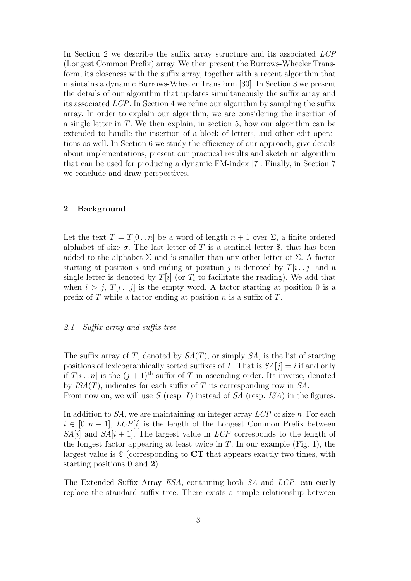In Section 2 we describe the suffix array structure and its associated LCP (Longest Common Prefix) array. We then present the Burrows-Wheeler Transform, its closeness with the suffix array, together with a recent algorithm that maintains a dynamic Burrows-Wheeler Transform [30]. In Section 3 we present the details of our algorithm that updates simultaneously the suffix array and its associated  $LCP$ . In Section 4 we refine our algorithm by sampling the suffix array. In order to explain our algorithm, we are considering the insertion of a single letter in T. We then explain, in section 5, how our algorithm can be extended to handle the insertion of a block of letters, and other edit operations as well. In Section 6 we study the efficiency of our approach, give details about implementations, present our practical results and sketch an algorithm that can be used for producing a dynamic FM-index [7]. Finally, in Section 7 we conclude and draw perspectives.

### 2 Background

Let the text  $T = T[0..n]$  be a word of length  $n + 1$  over  $\Sigma$ , a finite ordered alphabet of size  $\sigma$ . The last letter of T is a sentinel letter \$, that has been added to the alphabet  $\Sigma$  and is smaller than any other letter of  $\Sigma$ . A factor starting at position i and ending at position j is denoted by  $T[i \dots j]$  and a single letter is denoted by  $T[i]$  (or  $T_i$  to facilitate the reading). We add that when  $i > j$ ,  $T[i \dots j]$  is the empty word. A factor starting at position 0 is a prefix of  $T$  while a factor ending at position  $n$  is a suffix of  $T$ .

# 2.1 Suffix array and suffix tree

The suffix array of T, denoted by  $SA(T)$ , or simply  $SA$ , is the list of starting positions of lexicographically sorted suffixes of T. That is  $SA[j] = i$  if and only if  $T[i \dots n]$  is the  $(j + 1)$ <sup>th</sup> suffix of T in ascending order. Its inverse, denoted by  $\text{ISA}(T)$ , indicates for each suffix of T its corresponding row in SA. From now on, we will use  $S$  (resp. I) instead of  $SA$  (resp. ISA) in the figures.

In addition to SA, we are maintaining an integer array  $LCP$  of size n. For each  $i \in [0, n-1], LCP[i]$  is the length of the Longest Common Prefix between  $SA[i]$  and  $SA[i+1]$ . The largest value in  $LCP$  corresponds to the length of the longest factor appearing at least twice in  $T$ . In our example (Fig. 1), the largest value is 2 (corresponding to CT that appears exactly two times, with starting positions 0 and 2).

The Extended Suffix Array ESA, containing both SA and LCP, can easily replace the standard suffix tree. There exists a simple relationship between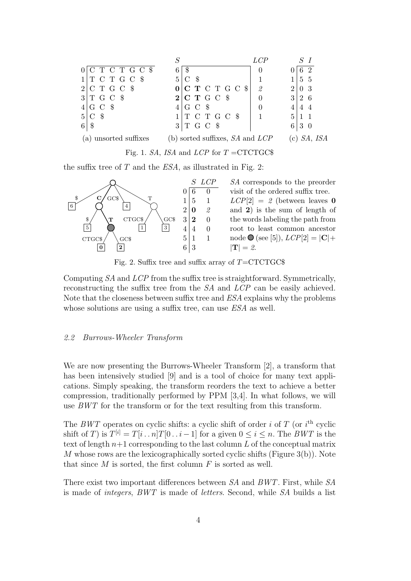| T C T G C \$                           | -96                                         | $\theta$      | 2                              |
|----------------------------------------|---------------------------------------------|---------------|--------------------------------|
| C T G C<br>- \$                        | $\mathcal{S}$<br>5<br>C                     |               | - 5<br>5                       |
| C T G C \$<br>$2^{\circ}$              | IC T C T G C $\$$<br>$\mathbf{0}$           | $\mathscr{Q}$ | 0 <sup>3</sup><br>$\mathbf{2}$ |
| - \$<br>T G C<br>$\mathcal{E}$         | C T G C<br>2 <sup>1</sup>                   |               | 3<br>26                        |
| - \$<br>G C                            | $G \ C \$                                   | $\theta$      |                                |
| - \$<br>$\mathbf{C}$<br>5 <sup>1</sup> | T C T G C \$                                |               | 5                              |
| $\Re$                                  | TGC \$<br>3 <sup>1</sup>                    |               | 6<br>3 0                       |
| (a) unsorted suffixes                  | (b) sorted suffixes, $SA$ and $LCP$         |               | $(c)$ <i>SA</i> , <i>ISA</i>   |
|                                        | Fig. 1. SA, ISA and LCP for $T = CTCTGC$ \$ |               |                                |

the suffix tree of  $T$  and the  $ESA$ , as illustrated in Fig. 2:



SA corresponds to the preorder visit of the ordered suffix tree.  $LCP[2] = 2$  (between leaves 0 and 2) is the sum of length of the words labeling the path from root to least common ancestor  $node \bullet (see [5]), LCP[2] = |C| +$ 

Fig. 2. Suffix tree and suffix array of  $T=CTCTGC$ \$

Computing SA and LCP from the suffix tree is straightforward. Symmetrically, reconstructing the suffix tree from the SA and LCP can be easily achieved. Note that the closeness between suffix tree and ESA explains why the problems whose solutions are using a suffix tree, can use  $ESA$  as well.

# 2.2 Burrows-Wheeler Transform

We are now presenting the Burrows-Wheeler Transform [2], a transform that has been intensively studied [9] and is a tool of choice for many text applications. Simply speaking, the transform reorders the text to achieve a better compression, traditionally performed by PPM [3,4]. In what follows, we will use BWT for the transform or for the text resulting from this transform.

The BWT operates on cyclic shifts: a cyclic shift of order i of T (or  $i<sup>th</sup>$  cyclic shift of T) is  $T^{[i]} = T[i \dots n]T[0 \dots i-1]$  for a given  $0 \le i \le n$ . The BWT is the text of length  $n+1$  corresponding to the last column L of the conceptual matrix M whose rows are the lexicographically sorted cyclic shifts (Figure  $3(b)$ ). Note that since  $M$  is sorted, the first column  $F$  is sorted as well.

There exist two important differences between SA and BWT. First, while SA is made of integers, BWT is made of letters. Second, while SA builds a list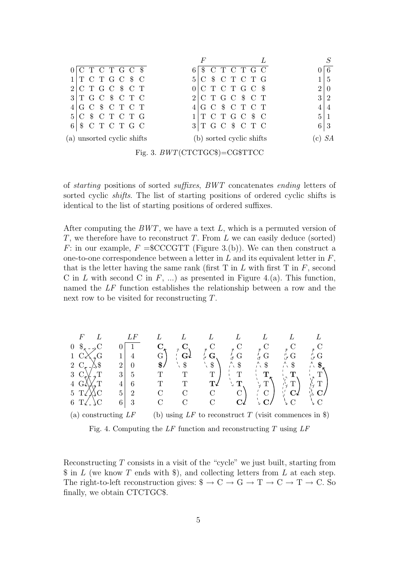| C T C T G C \$              |                               | T C T G C             |  |
|-----------------------------|-------------------------------|-----------------------|--|
| C T G C \$<br>- C           | C T C T G<br>5.               | -5                    |  |
| 2 C T G C \$C T             | C T C T G C \$                | 9<br>$\left( \right)$ |  |
| $3 T G C \$ C T C           | C T G C \$ C T<br>$2^{\circ}$ | 31<br>- 2             |  |
| GC \$ C T C<br>$\top$       | GC \$ C T C T                 |                       |  |
| C T C T G<br>5 <sup>1</sup> | C T G C \$ C                  | 5 1                   |  |
| C T C T G C<br>$\$\$<br>6   | GC \$ C T C<br>3              | $6 \mid 3$            |  |
| (a) unsorted cyclic shifts  | (b) sorted cyclic shifts      |                       |  |

Fig. 3. BWT(CTCTGC\$)=CG\$TTCC

of starting positions of sorted suffixes, BWT concatenates ending letters of sorted cyclic *shifts*. The list of starting positions of ordered cyclic shifts is identical to the list of starting positions of ordered suffixes.

After computing the  $BWT$ , we have a text  $L$ , which is a permuted version of T, we therefore have to reconstruct T. From  $L$  we can easily deduce (sorted) F: in our example,  $F =$ \$CCCGTT (Figure 3.(b)). We can then construct a one-to-one correspondence between a letter in  $L$  and its equivalent letter in  $F$ , that is the letter having the same rank (first  $T$  in  $L$  with first  $T$  in  $F$ , second C in L with second C in F, ...) as presented in Figure 4.(a). This function, named the LF function establishes the relationship between a row and the next row to be visited for reconstructing T.

| $\,F$                     | LF                               |                | L                         | L             | L                            | L                                                |                           |                                                         |
|---------------------------|----------------------------------|----------------|---------------------------|---------------|------------------------------|--------------------------------------------------|---------------------------|---------------------------------------------------------|
| $\overline{0}$            |                                  |                | で                         |               |                              |                                                  |                           |                                                         |
| $\mathbf{1}$              | $1^{\perp}$<br>$\overline{4}$    | G <sub>o</sub> | $\mathrm{G} \mathfrak{f}$ | $\bf G$       | $\mathcal G$<br>⊮⊤           | $'_{\sigma}$ G                                   | $\frac{1}{2}$ G           | $\stackrel{\prime^{\mathfrak t}}{\twoheadrightarrow} G$ |
| 2 $C_{\tau}$<br>∆\$       | 2 <sub>1</sub><br>$\overline{0}$ | $\frac{1}{2}$  | $\sqrt{8}$                | $\text{\$\$}$ | $\sqrt{3}$                   | $\bigwedge^n$ \$                                 | $\bigwedge^n S$           | $\hat{B}$                                               |
| 3 <sup>1</sup>            | 3 <sup>1</sup><br>5              | $\mathbf T$    | T                         | T             |                              | $-\pi$                                           |                           | $\mathbf T$                                             |
| $\overline{4}$<br>$G\ell$ | 6<br>4                           | T              | T                         | T√            | $\mathcal{L}$ $\mathbf{T}$ . | $\angle T$                                       | T<br>$\eta_{\mathcal{A}}$ | $\sqrt{k}$ T                                            |
| $5T\angle$                | 5 <sup>1</sup><br>$\overline{2}$ | $\mathcal{C}$  | $\mathcal{C}$             | $\mathcal{C}$ | $\mathcal{C}$                | $\left( \begin{array}{cc} C \end{array} \right)$ |                           | C/                                                      |
| 6 <sup>1</sup>            | 6 <sup>1</sup><br>- 3            | $\mathcal{C}$  | $\mathcal{C}$             | $\mathcal{C}$ | $C\prime$                    | $\rm C$<br>¥                                     | $\rm C$                   | $\backslash$ C                                          |
| $\sim$                    |                                  | $\sim$         |                           |               |                              |                                                  |                           | $\sim$                                                  |

(a) constructing LF (b) using LF to reconstruct T (visit commences in  $\mathcal{F}$ )

Fig. 4. Computing the  $LF$  function and reconstructing T using  $LF$ 

Reconstructing  $T$  consists in a visit of the "cycle" we just built, starting from  $\$ in L (we know T ends with  $\)$ , and collecting letters from L at each step. The right-to-left reconstruction gives:  $\$\to C \to G \to T \to C \to T \to C$ . So finally, we obtain CTCTGC\$.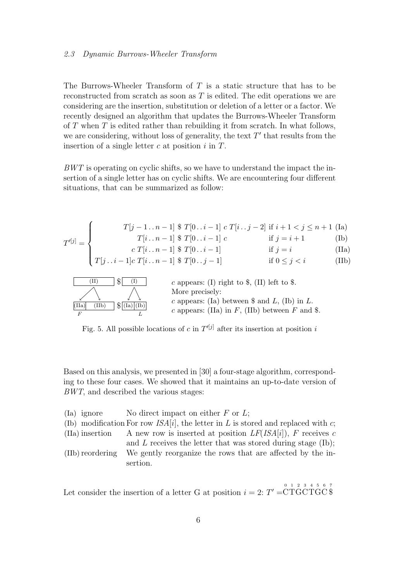## 2.3 Dynamic Burrows-Wheeler Transform

The Burrows-Wheeler Transform of  $T$  is a static structure that has to be reconstructed from scratch as soon as T is edited. The edit operations we are considering are the insertion, substitution or deletion of a letter or a factor. We recently designed an algorithm that updates the Burrows-Wheeler Transform of  $T$  when  $T$  is edited rather than rebuilding it from scratch. In what follows, we are considering, without loss of generality, the text  $T'$  that results from the insertion of a single letter  $c$  at position  $i$  in  $T$ .

BWT is operating on cyclic shifts, so we have to understand the impact the insertion of a single letter has on cyclic shifts. We are encountering four different situations, that can be summarized as follow:

T <sup>0</sup>[j] = T[j − 1 . . n − 1] \$ T[0 . . i − 1] c T[i . . j − 2] if i + 1 < j ≤ n + 1 (Ia) T[i . . n − 1] \$ T[0 . . i − 1] c if j = i + 1 (Ib) c T[i . . n − 1] \$ T[0 . . i − 1] if j = i (IIa) T[j . . i − 1]c T[i . . n − 1] \$ T[0 . . j − 1] if 0 ≤ j < i (IIb) (II) \$ (I) (IIa) (IIb) \$ (Ia) (Ib) c appears: (I) right to \$, (II) left to \$. More precisely: c appears: (Ia) between \$ and L, (Ib) in L.

L c appears: (IIa) in  $F$ , (IIb) between  $F$  and \$.

Fig. 5. All possible locations of c in  $T^{r[j]}$  after its insertion at position i

Based on this analysis, we presented in [30] a four-stage algorithm, corresponding to these four cases. We showed that it maintains an up-to-date version of BWT, and described the various stages:

(Ia) ignore No direct impact on either  $F$  or  $L$ ;

F

- (Ib) modification For row  $\text{ISA}[i]$ , the letter in L is stored and replaced with c;
- (IIa) insertion A new row is inserted at position  $LF(ISA[i])$ , F receives c
- and L receives the letter that was stored during stage (Ib); (IIb)reordering We gently reorganize the rows that are affected by the insertion.

Let consider the insertion of a letter G at position  $i = 2$ :  $T' = \overset{\circ}{\text{CTGCTGC}} \overset{\circ}{\text{3}} \overset{\circ}{\text{4}} \overset{\circ}{\text{5}} \overset{\circ}{\text{6}} \overset{\circ}{\text{7}}$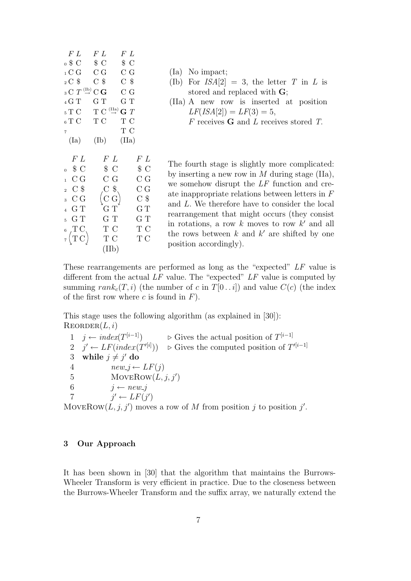| $F\,L$                                         | F L |                                              | $F\,\,L$             |       |                 |  |
|------------------------------------------------|-----|----------------------------------------------|----------------------|-------|-----------------|--|
| $_0$ \$ C                                      |     | $\text{\$ C}$                                | $\text{\$} \text{C}$ |       |                 |  |
| 1 C G                                          |     | C G                                          | C G                  |       |                 |  |
| $_2$ C $\$$                                    |     | $\mathrm{C}$ \$                              | $C$ \$               |       |                 |  |
| $_3$ C $T \stackrel{\text{(lb)}}{\rightarrow}$ |     | C G                                          |                      | C G   |                 |  |
| 4 G T                                          |     | G T                                          |                      | G T   |                 |  |
| $_5$ T C                                       |     | $T$ C $\stackrel{\text{(IIa)}}{\rightarrow}$ |                      | G T   |                 |  |
| $_6$ T C                                       | T C |                                              | T C                  |       |                 |  |
| $\overline{7}$                                 |     |                                              | T C                  |       |                 |  |
| (Ia)                                           |     | $(\mathrm{Ib})$                              |                      | (IIa) |                 |  |
|                                                |     |                                              |                      |       |                 |  |
| F L                                            |     | F L                                          |                      |       | F L             |  |
| $\mathcal{S} \subset$<br>$\overline{0}$        |     | \$C                                          |                      |       | $\frac{1}{2}C$  |  |
| C G<br>$\mathbf{1}$                            |     | C G                                          |                      |       | C G             |  |
| $2\quad\text{C}$ \$                            |     | $C$ \$                                       |                      |       | C G             |  |
| C G<br>3                                       |     | (C <sub>G</sub> )                            |                      |       | $\mathrm{C}$ \$ |  |
| G T<br>$\overline{4}$                          |     | GT                                           |                      |       | $G\,T$          |  |
| G T<br>5                                       |     | G T                                          |                      |       | GТ              |  |
| $T_{\rm C}$<br>6                               |     | T C                                          |                      |       | T C             |  |
| $(\rm{TC})$                                    |     | T C                                          |                      |       | T C             |  |
|                                                |     | (IIb)                                        |                      |       |                 |  |
|                                                |     |                                              |                      |       |                 |  |

(Ia) No impact;

- (Ib) For  $\text{ISA}[2] = 3$ , the letter T in L is stored and replaced with G;
- (IIa) A new row is inserted at position  $LF(ISA[2]) = LF(3) = 5,$ 
	- F receives G and L receives stored T.

The fourth stage is slightly more complicated: by inserting a new row in  $M$  during stage (IIa), we somehow disrupt the LF function and create inappropriate relations between letters in F and L. We therefore have to consider the local rearrangement that might occurs (they consist in rotations, a row  $k$  moves to row  $k'$  and all the rows between  $k$  and  $k'$  are shifted by one position accordingly).

These rearrangements are performed as long as the "expected" LF value is different from the actual  $LF$  value. The "expected"  $LF$  value is computed by summing  $rank_c(T, i)$  (the number of c in  $T[0..i]$ ) and value  $C(c)$  (the index of the first row where  $c$  is found in  $F$ ).

This stage uses the following algorithm (as explained in [30]):  $REORDER(L, i)$ 

1  $j \leftarrow index(T^{[i-1]})$  $[i-1]$   $\triangleright$  Gives the actual position of  $T^{[i-1]}$ 2  $j' \leftarrow LF(index(T^{\prime[i]})$ )) ⊳ Gives the computed position of  $T^{\prime[i-1]}$ 3 while  $j \neq j'$  do 4  $new_j \leftarrow LF(j)$ 5 MOVEROW $(L, j, j')$ 6  $j \leftarrow new_j$ 7 j  $\prime \leftarrow LF(j')$ 

MOVEROW $(L, j, j')$  moves a row of M from position j to position j'.

# 3 Our Approach

It has been shown in [30] that the algorithm that maintains the Burrows-Wheeler Transform is very efficient in practice. Due to the closeness between the Burrows-Wheeler Transform and the suffix array, we naturally extend the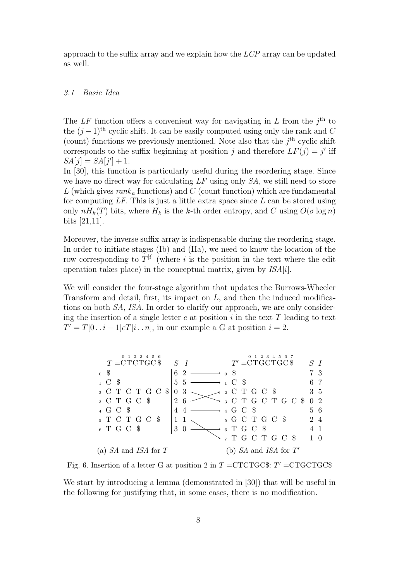approach to the suffix array and we explain how the LCP array can be updated as well.

## 3.1 Basic Idea

The LF function offers a convenient way for navigating in L from the  $j<sup>th</sup>$  to the  $(j-1)$ <sup>th</sup> cyclic shift. It can be easily computed using only the rank and C (count) functions we previously mentioned. Note also that the  $j<sup>th</sup>$  cyclic shift corresponds to the suffix beginning at position j and therefore  $LF(j) = j'$  iff  $SA[j] = SA[j'] + 1.$ 

In [30], this function is particularly useful during the reordering stage. Since we have no direct way for calculating  $LF$  using only  $SA$ , we still need to store L (which gives  $rank_a$  functions) and C (count function) which are fundamental for computing  $LF$ . This is just a little extra space since  $L$  can be stored using only  $nH_k(T)$  bits, where  $H_k$  is the k-th order entropy, and C using  $O(\sigma \log n)$ bits [21,11].

Moreover, the inverse suffix array is indispensable during the reordering stage. In order to initiate stages (Ib) and (IIa), we need to know the location of the row corresponding to  $T^{[i]}$  (where i is the position in the text where the edit operation takes place) in the conceptual matrix, given by  $\text{ISA}[i]$ .

We will consider the four-stage algorithm that updates the Burrows-Wheeler Transform and detail, first, its impact on  $L$ , and then the induced modifications on both SA, ISA. In order to clarify our approach, we are only considering the insertion of a single letter c at position i in the text  $T$  leading to text  $T' = T[0 \dots i-1]cT[i \dots n]$ , in our example a G at position  $i = 2$ .

| 2 3 4 5 6                                    | 2 3 4 5 6                                     |          |
|----------------------------------------------|-----------------------------------------------|----------|
| $T = CTCTGC$                                 | $T' = CTCCTGC$<br>$S$ I                       | $S$ I    |
| $0\quad$                                     | $\rightarrow 0$ \$<br>6<br>$\overline{2}$     | 3        |
| $\mathcal{S}$<br>$\mathbf C$<br>$\mathbf{1}$ | $\rightarrow$ 1 C \$<br>5.                    |          |
| 2 C T C T G C \$                             | 2 C T G C \$<br>3                             | $3\,5$   |
| 3 C T G C<br>- \$                            | 3 C T G C T G C \$<br>2                       | - 2      |
| $_4$ G C $$$                                 | 4 G C \$<br>$\rightarrow$<br>5                | -6       |
| 5 T C T G C \$                               | 5 G C T G C \$<br>$\mathcal{D}_{\mathcal{L}}$ |          |
| 6 T G C \$                                   | $\rightarrow$ 6 T G C $\sqrt[6]{3}$<br>3      |          |
|                                              | T G C T G C<br>- \$<br>$\overline{7}$         | $\Omega$ |
| SA and ISA for T<br>(a)                      | (b) $SA$ and $ISA$ for $T'$                   |          |

Fig. 6. Insertion of a letter G at position 2 in  $T = \text{CTCTGC$}\text{S}: T' = \text{CTGCTGC$}\text{S}$ 

We start by introducing a lemma (demonstrated in [30]) that will be useful in the following for justifying that, in some cases, there is no modification.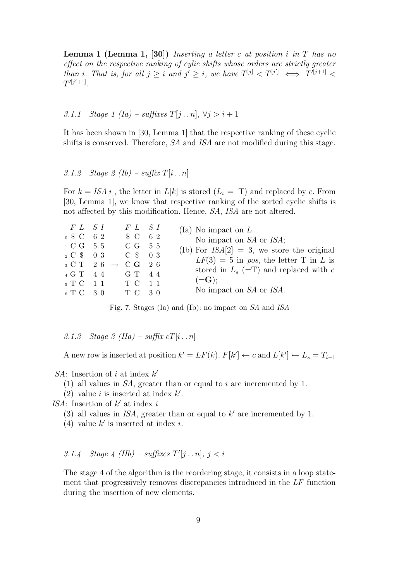**Lemma 1 (Lemma 1, [30])** Inserting a letter c at position i in T has no effect on the respective ranking of cylic shifts whose orders are strictly greater than i. That is, for all  $j \geq i$  and  $j' \geq i$ , we have  $T^{[j]} < T^{[j']} \iff T^{[j+1]} < T^{[j]}$  $T^{\prime [j'+1]}$ .

3.1.1 Stage 1 (Ia) – suffixes  $T[i \dots n]$ ,  $\forall i > i + 1$ 

It has been shown in [30, Lemma 1] that the respective ranking of these cyclic shifts is conserved. Therefore, SA and ISA are not modified during this stage.

3.1.2 Stage 2 (Ib) – suffix  $T[i \dots n]$ 

For  $k = \text{ISA}[i]$ , the letter in  $L[k]$  is stored  $(L_s = T)$  and replaced by c. From [30, Lemma 1], we know that respective ranking of the sorted cyclic shifts is not affected by this modification. Hence, SA, ISA are not altered.

| $F\ L\quad S\ I$<br>$0$ \$ C 6 2 | $_1$ C G 5 5 6 C G 5 5<br>2 C \$ 0 3 C \$ 0 3<br>$_3$ C T 2 6 $\rightarrow$ C G 2 6<br>4 G T 4 4 G T 4 4<br>5 T C 11 T C 11<br>6 T C 3 0 T C 3 0 | F L S I<br>$\text{\$ C \quad 6\ 2}$ |  | (Ia) No impact on $L$ .<br>No impact on <i>SA</i> or <i>ISA</i> ;<br>(Ib) For $\text{ISA}[2] = 3$ , we store the original<br>$LF(3) = 5$ in pos, the letter T in L is<br>stored in $L_s$ (=T) and replaced with c<br>$(=\mathbf{G});$<br>No impact on SA or ISA. |
|----------------------------------|--------------------------------------------------------------------------------------------------------------------------------------------------|-------------------------------------|--|------------------------------------------------------------------------------------------------------------------------------------------------------------------------------------------------------------------------------------------------------------------|
|----------------------------------|--------------------------------------------------------------------------------------------------------------------------------------------------|-------------------------------------|--|------------------------------------------------------------------------------------------------------------------------------------------------------------------------------------------------------------------------------------------------------------------|

Fig. 7. Stages (Ia) and (Ib): no impact on SA and ISA

3.1.3 Stage 3 (IIa) – suffix  $cT[i \nvert n]$ 

A new row is inserted at position  $k' = LF(k)$ .  $F[k'] \leftarrow c$  and  $L[k'] \leftarrow L_s = T_{i-1}$ 

SA: Insertion of i at index  $k'$ 

(1) all values in  $SA$ , greater than or equal to i are incremented by 1.

(2) value *i* is inserted at index  $k'$ .

ISA: Insertion of  $k'$  at index i

(3) all values in ISA, greater than or equal to  $k'$  are incremented by 1.

(4) value  $k'$  is inserted at index *i*.

# 3.1.4 Stage 4 (IIb) – suffixes  $T'[j..n], j < i$

The stage 4 of the algorithm is the reordering stage, it consists in a loop statement that progressively removes discrepancies introduced in the LF function during the insertion of new elements.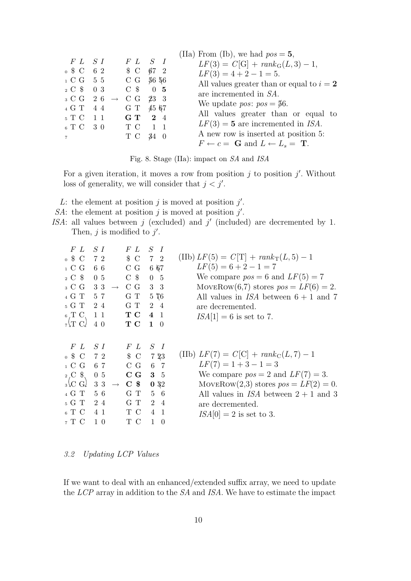|                                                        |  |                        |                                       | (IIa) From (Ib), we had $pos = 5$ ,                             |
|--------------------------------------------------------|--|------------------------|---------------------------------------|-----------------------------------------------------------------|
| $F\ L\ S\ I$                                           |  | F L S I                |                                       | $LF(3) = C[G] + rank_G(L, 3) - 1,$                              |
| $0 \text{ } \text{\textsterling C} \quad 6 \text{ } 2$ |  | $\bullet$ C            | 672                                   | $LF(3) = 4 + 2 - 1 = 5.$                                        |
|                                                        |  |                        |                                       | All values greater than or equal to $i = 2$                     |
| $_2$ C $\text{\$}$ 0 3                                 |  | $C \$ <sub>5</sub> 0 5 |                                       | are incremented in SA.                                          |
| $_3$ C G 2 6 $\rightarrow$ C G 23 3                    |  |                        |                                       |                                                                 |
| 4 G T 4 4                                              |  | G T 45 67              |                                       | We update <i>pos</i> : $pos = 56$ .                             |
| 5T C 11 G T                                            |  |                        | 2 4                                   | All values greater than or equal to                             |
| 6 T C 3 0 T C                                          |  |                        | $\begin{array}{cc} 1 & 1 \end{array}$ | $LF(3) = 5$ are incremented in ISA.                             |
| $\overline{7}$                                         |  | T C 34 0               |                                       | A new row is inserted at position 5:                            |
|                                                        |  |                        |                                       | $F \leftarrow c =$ <b>G</b> and $L \leftarrow L_s =$ <b>T</b> . |

Fig. 8. Stage (IIa): impact on SA and ISA

For a given iteration, it moves a row from position  $j$  to position  $j'$ . Without loss of generality, we will consider that  $j < j'$ .

- L: the element at position j is moved at position  $j'$ .
- SA: the element at position  $j$  is moved at position  $j'$ .
- ISA: all values between  $j$  (excluded) and  $j'$  (included) are decremented by 1. Then,  $j$  is modified to  $j'$ .

| F L<br>$_0$ \$ C<br>$_1$ C G 66       | $S$ I<br>72              | F L<br>$\text{\$ C}$<br>$\rm C~G$ | $S$ I<br>7 2<br>6 67           | $(IIB) LF(5) = C[T] + rank_T(L, 5) - 1$<br>$LF(5) = 6 + 2 - 1 = 7$                 |
|---------------------------------------|--------------------------|-----------------------------------|--------------------------------|------------------------------------------------------------------------------------|
| $_2$ C $\frac{6}{3}$ 0 5<br>3 C G 3 3 | $\longrightarrow$        | $\mathbb{C} \;$ \$<br>C G         | 0 <sub>5</sub><br>3 3          | We compare $pos = 6$ and $LF(5) = 7$<br>MOVEROW $(6,7)$ stores $pos = LF(6) = 2$ . |
| $4$ G T                               | 57                       | G T                               | 5 76                           | All values in $ISA$ between $6 + 1$ and 7                                          |
| 5 G T 2 4                             |                          | G T                               | 2 4                            | are decremented.                                                                   |
| 6, T, C, 1, 1                         |                          | $\bf{T}$ C                        | 4 1                            | $ISA[1] = 6$ is set to 7.                                                          |
| $\pi$ C                               | 4 0                      | T C                               | $\mathbf 1$<br>$\overline{0}$  |                                                                                    |
| F L<br>$0 \text{ }$ S C               | S I<br>7 2               | $F\,L$<br>$\mathcal{S}$ C         | $S$ I<br>7 23                  | (IIb) $LF(7) = C[C] + rank_C(L, 7) - 1$                                            |
| 1 C G 6 7                             |                          | C G 6 7                           |                                | $LF(7) = 1 + 3 - 1 = 3$                                                            |
| $2\,C$ \$, 0 5                        |                          | C G                               | $3\quad 5$                     | We compare $pos = 2$ and $LF(7) = 3$ .                                             |
| $_3\backslash$ C G $\downarrow$       | 3 3<br>$\longrightarrow$ | $\mathbf{C}$ \$                   | $0\,32$                        | MOVEROW $(2,3)$ stores $pos = LF(2) = 0$ .                                         |
| $_4$ G T                              | 56                       | G T                               | 5 6                            | All values in $ISA$ between $2 + 1$ and 3                                          |
| $_5$ G T                              | 24                       | G T                               | $2\quad 4$                     | are decremented.                                                                   |
| 6 T C 4 1                             |                          | T C                               | 4 1                            | $ISA[0] = 2$ is set to 3.                                                          |
| $_7$ T C                              | 10                       | T C                               | $\mathbf{1}$<br>$\overline{0}$ |                                                                                    |

# 3.2 Updating LCP Values

If we want to deal with an enhanced/extended suffix array, we need to update the LCP array in addition to the SA and ISA. We have to estimate the impact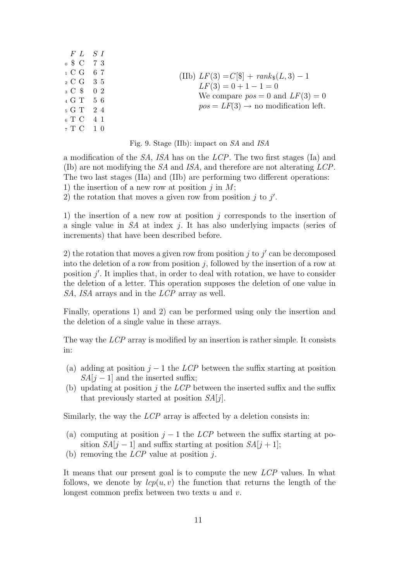|  | $F\ L\quad S\ I$<br>$0 \text{ } $C \quad 7 \text{ } 3$<br>$_1$ C G 6 7<br>2 C G 3 5<br>3 C \$ 0 2<br>4 G T 5 6<br>5 G T 2 4<br>6 T C 4 1<br>$_7$ T C 1 0 |  | (IIb) $LF(3) = C[\$] + rank_{\$}(L,3) - 1$<br>$LF(3) = 0 + 1 - 1 = 0$<br>We compare $pos = 0$ and $LF(3) = 0$<br>$pos = LF(3) \rightarrow no$ modification left. |
|--|----------------------------------------------------------------------------------------------------------------------------------------------------------|--|------------------------------------------------------------------------------------------------------------------------------------------------------------------|
|--|----------------------------------------------------------------------------------------------------------------------------------------------------------|--|------------------------------------------------------------------------------------------------------------------------------------------------------------------|



a modification of the SA, ISA has on the LCP. The two first stages (Ia) and (Ib) are not modifying the SA and ISA, and therefore are not alterating LCP. The two last stages (IIa) and (IIb) are performing two different operations: 1) the insertion of a new row at position  $j$  in  $M$ ;

2) the rotation that moves a given row from position  $j$  to  $j'$ .

1) the insertion of a new row at position  $j$  corresponds to the insertion of a single value in  $SA$  at index j. It has also underlying impacts (series of increments) that have been described before.

2) the rotation that moves a given row from position  $j$  to  $j'$  can be decomposed into the deletion of a row from position  $j$ , followed by the insertion of a row at position  $j'$ . It implies that, in order to deal with rotation, we have to consider the deletion of a letter. This operation supposes the deletion of one value in SA, ISA arrays and in the LCP array as well.

Finally, operations 1) and 2) can be performed using only the insertion and the deletion of a single value in these arrays.

The way the LCP array is modified by an insertion is rather simple. It consists in:

- (a) adding at position  $j-1$  the LCP between the suffix starting at position  $SA[j-1]$  and the inserted suffix;
- (b) updating at position  $j$  the  $LCP$  between the inserted suffix and the suffix that previously started at position  $SA[j]$ .

Similarly, the way the LCP array is affected by a deletion consists in:

- (a) computing at position  $j-1$  the LCP between the suffix starting at position  $SA[j-1]$  and suffix starting at position  $SA[j+1]$ ;
- (b) removing the  $LCP$  value at position j.

It means that our present goal is to compute the new LCP values. In what follows, we denote by  $lcp(u, v)$  the function that returns the length of the longest common prefix between two texts  $u$  and  $v$ .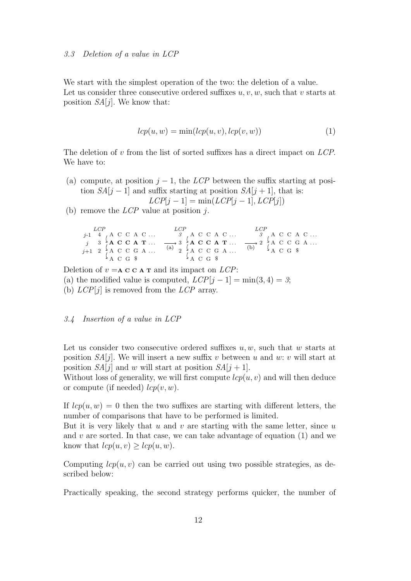We start with the simplest operation of the two: the deletion of a value. Let us consider three consecutive ordered suffixes  $u, v, w$ , such that v starts at position  $SA[j]$ . We know that:

$$
lcp(u, w) = \min(lcp(u, v), lcp(v, w))
$$
\n<sup>(1)</sup>

The deletion of v from the list of sorted suffixes has a direct impact on LCP. We have to:

- (a) compute, at position  $j-1$ , the LCP between the suffix starting at position  $SA[j-1]$  and suffix starting at position  $SA[j+1]$ , that is:  $LCP[j-1] = min(LCP[j-1], LCP[j])$
- (b) remove the  $LCP$  value at position j.

| LCP                   | LCP –                                                                                                                                                                                                                                                                                                                       | LCP |
|-----------------------|-----------------------------------------------------------------------------------------------------------------------------------------------------------------------------------------------------------------------------------------------------------------------------------------------------------------------------|-----|
|                       | $j-1$ 4 $_A$ A C C A C $\qquad$ $\qquad$ $\qquad$ $\qquad$ $\qquad$ $\qquad$ $\qquad$ $\qquad$ $\qquad$ $\qquad$ $\qquad$ $\qquad$ $\qquad$ $\qquad$ $\qquad$ $\qquad$ $\qquad$ $\qquad$ $\qquad$ $\qquad$ $\qquad$ $\qquad$ $\qquad$ $\qquad$ $\qquad$ $\qquad$ $\qquad$ $\qquad$ $\qquad$ $\qquad$ $\qquad$ $\qquad$ $\q$ |     |
|                       | $\begin{array}{ccccccccc}\nj & 3 & A & C & C & A & T & \dots & \longrightarrow & 3 & A & C & C & A & T & \dots & \longrightarrow & 2 & A & C & C & G & A & \dots & \longrightarrow & 3 & A & C & C & A & T & \dots & \longrightarrow & 2 & A & C & C & G & A & \dots & \longrightarrow & 4 & C & G & S & \end{array}$       |     |
|                       |                                                                                                                                                                                                                                                                                                                             |     |
| $\downarrow$ A C G \$ | $\lambda$ A C G \$                                                                                                                                                                                                                                                                                                          |     |

Deletion of  $v = A \mathbf{C} \mathbf{C} A \mathbf{T}$  and its impact on  $LCP$ : (a) the modified value is computed,  $LCP[j-1] = \min(3, 4) = 3;$ (b)  $LCP[j]$  is removed from the  $LCP$  array.

#### 3.4 Insertion of a value in LCP

Let us consider two consecutive ordered suffixes  $u, w$ , such that w starts at position  $SA[j]$ . We will insert a new suffix v between u and w: v will start at position  $SA[j]$  and w will start at position  $SA[j+1]$ .

Without loss of generality, we will first compute  $lcp(u, v)$  and will then deduce or compute (if needed)  $lcp(v, w)$ .

If  $lcp(u, w) = 0$  then the two suffixes are starting with different letters, the number of comparisons that have to be performed is limited.

But it is very likely that  $u$  and  $v$  are starting with the same letter, since  $u$ and  $v$  are sorted. In that case, we can take advantage of equation  $(1)$  and we know that  $lcp(u, v) \geq lcp(u, w)$ .

Computing  $lcp(u, v)$  can be carried out using two possible strategies, as described below:

Practically speaking, the second strategy performs quicker, the number of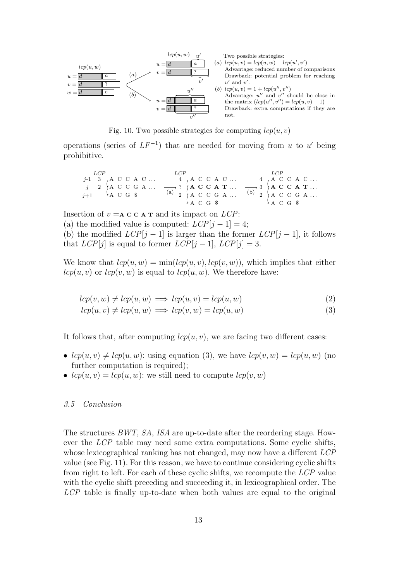

Fig. 10. Two possible strategies for computing  $lcp(u, v)$ 

operations (series of  $LF^{-1}$ ) that are needed for moving from u to u' being prohibitive.

LCP j-1 3 j j+1 A C C A C . . . 2 A C C G A . . . A C G \$ (a) LCP 4 A C C A C . . . ? A C C A T . . . 2 A C C G A . . . A C G \$ (b) LCP 4 A C C A C . . . 3 A C C A T . . . 2 A C C G A . . . A C G \$

Insertion of  $v = A \mathbf{C} \mathbf{C} A \mathbf{T}$  and its impact on  $LCP$ :

(a) the modified value is computed:  $LCP[i-1] = 4$ ;

(b) the modified  $LCP[j-1]$  is larger than the former  $LCP[j-1]$ , it follows that  $LCP[j]$  is equal to former  $LCP[j-1]$ ,  $LCP[j] = 3$ .

We know that  $lcp(u, w) = min(lcp(u, v), lcp(v, w))$ , which implies that either  $lcp(u, v)$  or  $lcp(v, w)$  is equal to  $lcp(u, w)$ . We therefore have:

$$
lcp(v, w) \neq lcp(u, w) \implies lcp(u, v) = lcp(u, w)
$$
\n
$$
(2)
$$

$$
lcp(u, v) \neq lcp(u, w) \implies lcp(v, w) = lcp(u, w)
$$
\n(3)

It follows that, after computing  $lcp(u, v)$ , we are facing two different cases:

- $lcp(u, v) \neq lcp(u, w)$ : using equation (3), we have  $lcp(v, w) = lcp(u, w)$  (no further computation is required);
- $lcp(u, v) = lcp(u, w)$ : we still need to compute  $lcp(v, w)$

### 3.5 Conclusion

The structures BWT, SA, ISA are up-to-date after the reordering stage. However the LCP table may need some extra computations. Some cyclic shifts, whose lexicographical ranking has not changed, may now have a different *LCP* value (see Fig. 11). For this reason, we have to continue considering cyclic shifts from right to left. For each of these cyclic shifts, we recompute the LCP value with the cyclic shift preceding and succeeding it, in lexicographical order. The LCP table is finally up-to-date when both values are equal to the original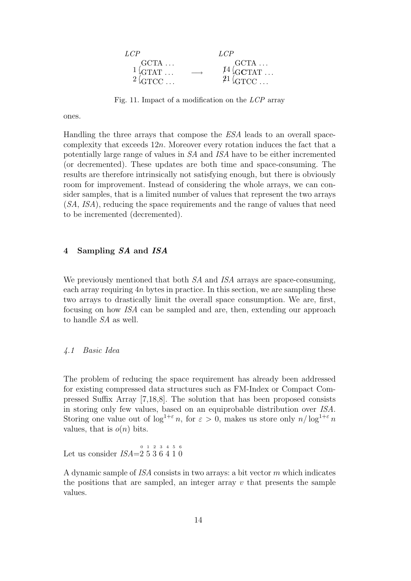

Fig. 11. Impact of a modification on the LCP array

ones.

Handling the three arrays that compose the ESA leads to an overall spacecomplexity that exceeds  $12n$ . Moreover every rotation induces the fact that a potentially large range of values in SA and ISA have to be either incremented (or decremented). These updates are both time and space-consuming. The results are therefore intrinsically not satisfying enough, but there is obviously room for improvement. Instead of considering the whole arrays, we can consider samples, that is a limited number of values that represent the two arrays (SA, ISA), reducing the space requirements and the range of values that need to be incremented (decremented).

## 4 Sampling SA and ISA

We previously mentioned that both SA and ISA arrays are space-consuming, each array requiring 4n bytes in practice. In this section, we are sampling these two arrays to drastically limit the overall space consumption. We are, first, focusing on how ISA can be sampled and are, then, extending our approach to handle SA as well.

## 4.1 Basic Idea

The problem of reducing the space requirement has already been addressed for existing compressed data structures such as FM-Index or Compact Compressed Suffix Array [7,18,8]. The solution that has been proposed consists in storing only few values, based on an equiprobable distribution over ISA. Storing one value out of  $\log^{1+\varepsilon} n$ , for  $\varepsilon > 0$ , makes us store only  $n/\log^{1+\varepsilon} n$ values, that is  $o(n)$  bits.

Let us consider  $ISA=2\ 5\ 3\ 6\ 4\ 1\ 0$ 

A dynamic sample of ISA consists in two arrays: a bit vector m which indicates the positions that are sampled, an integer array  $v$  that presents the sample values.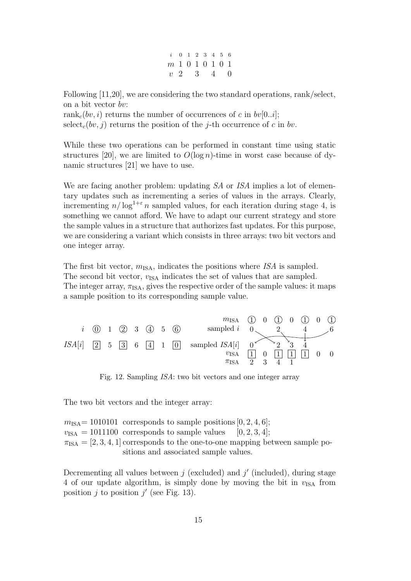|                 |  | $i \t 0 \t 1 \t 2 \t 3 \t 4 \t 5 \t 6$ |  |  |
|-----------------|--|----------------------------------------|--|--|
| m 1 0 1 0 1 0 1 |  |                                        |  |  |
| $v$ 2 3 4 0     |  |                                        |  |  |

Following [11,20], we are considering the two standard operations, rank/select, on a bit vector bv:

rank<sub>c</sub> $(bv, i)$  returns the number of occurrences of c in  $bv[0..i]$ ; select<sub>c</sub>(bv, j) returns the position of the j-th occurrence of c in bv.

While these two operations can be performed in constant time using static structures [20], we are limited to  $O(\log n)$ -time in worst case because of dynamic structures [21] we have to use.

We are facing another problem: updating SA or ISA implies a lot of elementary updates such as incrementing a series of values in the arrays. Clearly, incrementing  $n/\log^{1+\epsilon} n$  sampled values, for each iteration during stage 4, is something we cannot afford. We have to adapt our current strategy and store the sample values in a structure that authorizes fast updates. For this purpose, we are considering a variant which consists in three arrays: two bit vectors and one integer array.

The first bit vector,  $m_{\text{ISA}}$ , indicates the positions where ISA is sampled. The second bit vector,  $v_{\text{ISA}}$  indicates the set of values that are sampled. The integer array,  $\pi_{\text{ISA}}$ , gives the respective order of the sample values: it maps a sample position to its corresponding sample value.



Fig. 12. Sampling ISA: two bit vectors and one integer array

The two bit vectors and the integer array:

 $m_{\rm ISA}$  = 1010101 corresponds to sample positions [0, 2, 4, 6];  $v_{\text{ISA}} = 1011100$  corresponds to sample values [0, 2, 3, 4];  $\pi_{\text{ISA}} = [2, 3, 4, 1]$  corresponds to the one-to-one mapping between sample positions and associated sample values.

Decrementing all values between  $j$  (excluded) and  $j'$  (included), during stage 4 of our update algorithm, is simply done by moving the bit in  $v_{\rm ISA}$  from position  $j$  to position  $j'$  (see Fig. 13).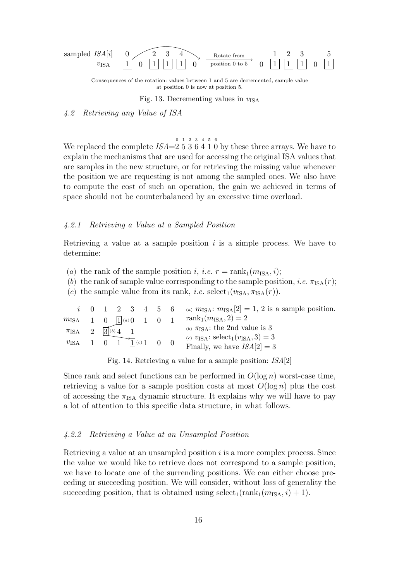

Consequences of the rotation: values between 1 and 5 are decremented, sample value at position 0 is now at position 5.

Fig. 13. Decrementing values in  $v<sub>ISA</sub>$ 

4.2 Retrieving any Value of ISA

0 1 2 3 4 5 6

We replaced the complete  $ISA=2536410$  by these three arrays. We have to explain the mechanisms that are used for accessing the original ISA values that are samples in the new structure, or for retrieving the missing value whenever the position we are requesting is not among the sampled ones. We also have to compute the cost of such an operation, the gain we achieved in terms of space should not be counterbalanced by an excessive time overload.

## 4.2.1 Retrieving a Value at a Sampled Position

Retrieving a value at a sample position  $i$  is a simple process. We have to determine:

- (a) the rank of the sample position i, i.e.  $r = \text{rank}_1(m_{\text{ISA}}, i);$
- (b) the rank of sample value corresponding to the sample position, *i.e.*  $\pi_{\text{ISA}}(r)$ ;
- (c) the sample value from its rank, *i.e.* select<sub>1</sub>( $v_{\text{ISA}}, \pi_{\text{ISA}}(r)$ ).

|  |                                                      |  | <i>i</i> 0 1 2 3 4 5 6 (a) $m_{\text{ISA}}: m_{\text{ISA}}[2] = 1, 2$ is a sample position.           |
|--|------------------------------------------------------|--|-------------------------------------------------------------------------------------------------------|
|  | $m_{\text{ISA}}$ 1 0 $ 1 ^{(a)}0$ 1 0                |  | $rank_1(m_{\text{ISA}}, 2) = 2$                                                                       |
|  | $\pi$ ISA 2 $\left  \overline{3} \right ^{(b)}$ 4 1  |  | (b) $\pi_{\text{ISA}}$ : the 2nd value is 3                                                           |
|  | $v_{\text{ISA}}$ 1 0 1 $\prod_{i=1}^{n} (c_i)$ 1 0 0 |  | (c) $v_{\text{ISA}}$ : select <sub>1</sub> $(v_{\text{ISA}}, 3) = 3$<br>Finally, we have $ISA[2] = 3$ |

Fig. 14. Retrieving a value for a sample position: ISA[2]

Since rank and select functions can be performed in  $O(\log n)$  worst-case time, retrieving a value for a sample position costs at most  $O(\log n)$  plus the cost of accessing the  $\pi_{\text{ISA}}$  dynamic structure. It explains why we will have to pay a lot of attention to this specific data structure, in what follows.

### 4.2.2 Retrieving a Value at an Unsampled Position

Retrieving a value at an unsampled position  $i$  is a more complex process. Since the value we would like to retrieve does not correspond to a sample position, we have to locate one of the surrending positions. We can either choose preceding or succeeding position. We will consider, without loss of generality the succeeding position, that is obtained using  $select_1(rank_1(m_{ISA}, i) + 1)$ .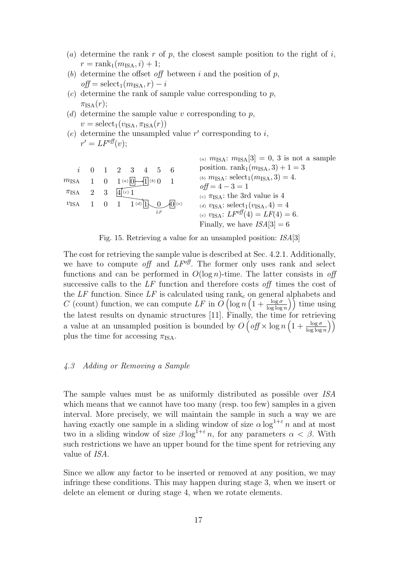- (a) determine the rank r of p, the closest sample position to the right of i,  $r = \text{rank}_{1}(m_{\text{ISA}}, i) + 1;$
- (b) determine the offset off between i and the position of p,  $off = select_1(m_{ISA}, r) - i$
- $(c)$  determine the rank of sample value corresponding to p,  $\pi_{\text{ISA}}(r);$
- (d) determine the sample value v corresponding to  $p$ ,  $v = \text{select}_1(v_{\text{ISA}}, \pi_{\text{ISA}}(r))$
- (e) determine the unsampled value  $r'$  corresponding to i,  $r' = LF^{off}(v);$

| position. rank $_1(m_{\text{ISA}}, 3) + 1 = 3$<br>$i \quad 0 \quad 1 \quad 2 \quad 3 \quad 4 \quad 5 \quad 6$<br>(b) $m_{\text{ISA}}$ : select <sub>1</sub> $(m_{\text{ISA}}, 3) = 4$ .<br>$m_{\text{ISA}}$ 1 0 1(a) $\boxed{0}$ 1(b) 0<br>$\text{off} = 4 - 3 = 1$<br>$\int_0^{\infty}$ (c) 1<br>2 3<br>$\pi_{\rm{ISA}}$<br>(c) $\pi$ <sub>ISA</sub> : the 3rd value is 4<br>$v_{\text{ISA}}$ 1 0 1 1 ( <i>d</i> ) $[1] \setminus 0$ $[0]$ ( <i>e</i> )<br>(d) $v_{\text{ISA}}$ : select <sub>1</sub> ( $v_{\text{ISA}}, 4$ ) = 4<br>(e) $v_{\text{ISA}}$ : $LF^{off}(4) = LF(4) = 6$ .<br>LF<br>Finally, we have $ISA[3] = 6$ |  |
|---------------------------------------------------------------------------------------------------------------------------------------------------------------------------------------------------------------------------------------------------------------------------------------------------------------------------------------------------------------------------------------------------------------------------------------------------------------------------------------------------------------------------------------------------------------------------------------------------------------------------------|--|
|---------------------------------------------------------------------------------------------------------------------------------------------------------------------------------------------------------------------------------------------------------------------------------------------------------------------------------------------------------------------------------------------------------------------------------------------------------------------------------------------------------------------------------------------------------------------------------------------------------------------------------|--|

Fig. 15. Retrieving a value for an unsampled position: ISA[3]

The cost for retrieving the sample value is described at Sec. 4.2.1. Additionally, we have to compute off and  $LF^{off}$ . The former only uses rank and select functions and can be performed in  $O(\log n)$ -time. The latter consists in off successive calls to the  $LF$  function and therefore costs off times the cost of the  $LF$  function. Since  $LF$  is calculated using rank<sub>c</sub> on general alphabets and C (count) function, we can compute LF in  $\tilde{O}(\log n \left(1 + \frac{\log \sigma}{\log \log n}\right))$  time using the latest results on dynamic structures [11]. Finally, the time for retrieving a value at an unsampled position is bounded by  $O\left(\text{off} \times \log n\left(1 + \frac{\log \sigma}{\log \log n}\right)\right)$  $\left\langle \right\rangle$ plus the time for accessing  $\pi_{\text{ISA}}$ .

# 4.3 Adding or Removing a Sample

The sample values must be as uniformly distributed as possible over ISA which means that we cannot have too many (resp. too few) samples in a given interval. More precisely, we will maintain the sample in such a way we are having exactly one sample in a sliding window of size  $\alpha \log^{1+\epsilon} n$  and at most two in a sliding window of size  $\beta \log^{1+\epsilon} n$ , for any parameters  $\alpha < \beta$ . With such restrictions we have an upper bound for the time spent for retrieving any value of ISA.

Since we allow any factor to be inserted or removed at any position, we may infringe these conditions. This may happen during stage 3, when we insert or delete an element or during stage 4, when we rotate elements.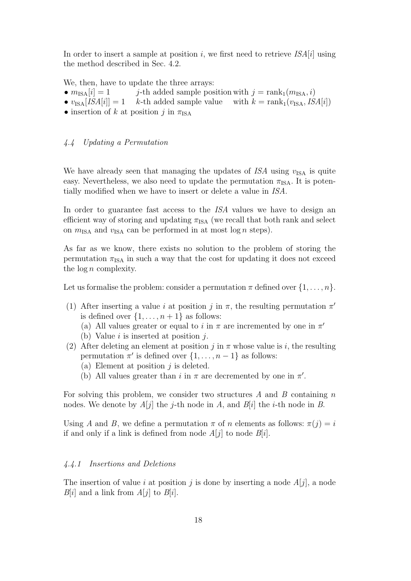In order to insert a sample at position i, we first need to retrieve  $\text{ISA}[i]$  using the method described in Sec. 4.2.

We, then, have to update the three arrays:

- $m_{\text{ISA}}[i] = 1$  j-th added sample position with  $j = \text{rank}_1(m_{\text{ISA}}, i)$
- $v_{\text{ISA}}[ISA[i]] = 1$  k-th added sample value with  $k = \text{rank}_1(v_{\text{ISA}},ISA[i])$
- insertion of k at position j in  $\pi_{\text{ISA}}$

# 4.4 Updating a Permutation

We have already seen that managing the updates of  $ISA$  using  $v_{\text{ISA}}$  is quite easy. Nevertheless, we also need to update the permutation  $\pi_{\text{ISA}}$ . It is potentially modified when we have to insert or delete a value in ISA.

In order to guarantee fast access to the ISA values we have to design an efficient way of storing and updating  $\pi_{\text{ISA}}$  (we recall that both rank and select on  $m_{\text{ISA}}$  and  $v_{\text{ISA}}$  can be performed in at most log n steps).

As far as we know, there exists no solution to the problem of storing the permutation  $\pi_{\text{ISA}}$  in such a way that the cost for updating it does not exceed the  $\log n$  complexity.

Let us formalise the problem: consider a permutation  $\pi$  defined over  $\{1, \ldots, n\}$ .

- (1) After inserting a value i at position j in  $\pi$ , the resulting permutation  $\pi'$ is defined over  $\{1, \ldots, n+1\}$  as follows:
	- (a) All values greater or equal to i in  $\pi$  are incremented by one in  $\pi'$
	- (b) Value  $i$  is inserted at position  $i$ .
- (2) After deleting an element at position  $j$  in  $\pi$  whose value is i, the resulting permutation  $\pi'$  is defined over  $\{1, \ldots, n-1\}$  as follows:
	- (a) Element at position  $j$  is deleted.
	- (b) All values greater than i in  $\pi$  are decremented by one in  $\pi'$ .

For solving this problem, we consider two structures  $A$  and  $B$  containing  $n$ nodes. We denote by  $A[i]$  the *j*-th node in A, and  $B[i]$  the *i*-th node in B.

Using A and B, we define a permutation  $\pi$  of n elements as follows:  $\pi(j) = i$ if and only if a link is defined from node  $A[j]$  to node  $B[i]$ .

# 4.4.1 Insertions and Deletions

The insertion of value i at position j is done by inserting a node  $A[j]$ , a node  $B[i]$  and a link from  $A[j]$  to  $B[i]$ .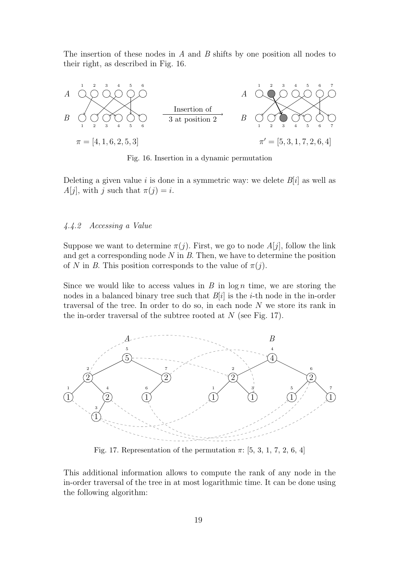The insertion of these nodes in  $A$  and  $B$  shifts by one position all nodes to their right, as described in Fig. 16.



Fig. 16. Insertion in a dynamic permutation

Deleting a given value i is done in a symmetric way: we delete  $B[i]$  as well as  $A[j]$ , with j such that  $\pi(j) = i$ .

# 4.4.2 Accessing a Value

Suppose we want to determine  $\pi(j)$ . First, we go to node  $A[j]$ , follow the link and get a corresponding node  $N$  in  $B$ . Then, we have to determine the position of N in B. This position corresponds to the value of  $\pi(j)$ .

Since we would like to access values in  $B$  in  $\log n$  time, we are storing the nodes in a balanced binary tree such that  $B[i]$  is the *i*-th node in the in-order traversal of the tree. In order to do so, in each node N we store its rank in the in-order traversal of the subtree rooted at  $N$  (see Fig. 17).



Fig. 17. Representation of the permutation  $\pi$ : [5, 3, 1, 7, 2, 6, 4]

This additional information allows to compute the rank of any node in the in-order traversal of the tree in at most logarithmic time. It can be done using the following algorithm: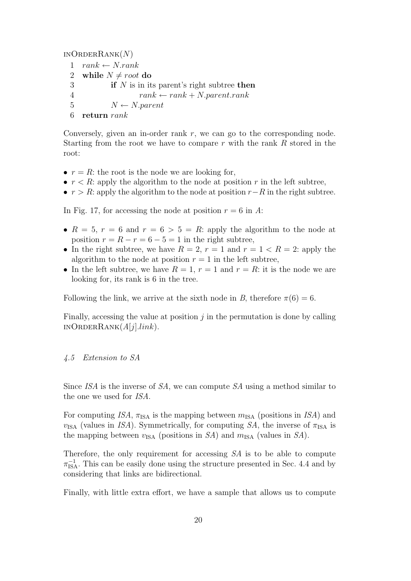$INORDERRANK(N)$  $rank \leftarrow N. rank$ 2 while  $N \neq root$  do if N is in its parent's right subtree then  $rank \leftarrow rank + N.parent. rank$  $N \leftarrow N.parent$ return rank

Conversely, given an in-order rank  $r$ , we can go to the corresponding node. Starting from the root we have to compare  $r$  with the rank  $R$  stored in the root:

- $r = R$ : the root is the node we are looking for,
- $r < R$ : apply the algorithm to the node at position r in the left subtree,
- $r > R$ : apply the algorithm to the node at position  $r-R$  in the right subtree.

In Fig. 17, for accessing the node at position  $r = 6$  in A:

- $R = 5$ ,  $r = 6$  and  $r = 6 > 5 = R$ : apply the algorithm to the node at position  $r = R - r = 6 - 5 = 1$  in the right subtree,
- In the right subtree, we have  $R = 2$ ,  $r = 1$  and  $r = 1 \lt R = 2$ : apply the algorithm to the node at position  $r = 1$  in the left subtree,
- In the left subtree, we have  $R = 1, r = 1$  and  $r = R$ : it is the node we are looking for, its rank is 6 in the tree.

Following the link, we arrive at the sixth node in B, therefore  $\pi(6) = 6$ .

Finally, accessing the value at position  $j$  in the permutation is done by calling  $INORDERRANK(A[j].link).$ 

# 4.5 Extension to SA

Since ISA is the inverse of SA, we can compute SA using a method similar to the one we used for ISA.

For computing ISA,  $\pi_{\text{ISA}}$  is the mapping between  $m_{\text{ISA}}$  (positions in ISA) and  $v_{\text{ISA}}$  (values in ISA). Symmetrically, for computing SA, the inverse of  $\pi_{\text{ISA}}$  is the mapping between  $v_{\text{ISA}}$  (positions in SA) and  $m_{\text{ISA}}$  (values in SA).

Therefore, the only requirement for accessing SA is to be able to compute  $\pi_{\text{ISA}}^{-1}$ . This can be easily done using the structure presented in Sec. 4.4 and by considering that links are bidirectional.

Finally, with little extra effort, we have a sample that allows us to compute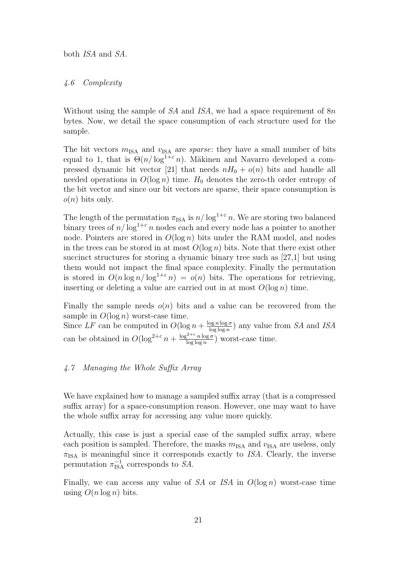# 4.6 Complexity

Without using the sample of SA and ISA, we had a space requirement of  $8n$ bytes. Now, we detail the space consumption of each structure used for the sample.

The bit vectors  $m_{\text{ISA}}$  and  $v_{\text{ISA}}$  are *sparse*: they have a small number of bits equal to 1, that is  $\Theta(n/\log^{1+\varepsilon} n)$ . Mäkinen and Navarro developed a compressed dynamic bit vector [21] that needs  $nH_0 + o(n)$  bits and handle all needed operations in  $O(\log n)$  time.  $H_0$  denotes the zero-th order entropy of the bit vector and since our bit vectors are sparse, their space consumption is  $o(n)$  bits only.

The length of the permutation  $\pi_{\text{ISA}}$  is  $n/\log^{1+\epsilon} n$ . We are storing two balanced binary trees of  $n/\log^{1+\epsilon} n$  nodes each and every node has a pointer to another node. Pointers are stored in  $O(\log n)$  bits under the RAM model, and nodes in the trees can be stored in at most  $O(\log n)$  bits. Note that there exist other succinct structures for storing a dynamic binary tree such as [27,1] but using them would not impact the final space complexity. Finally the permutation is stored in  $O(n \log n / \log^{1+\epsilon} n) = o(n)$  bits. The operations for retrieving, inserting or deleting a value are carried out in at most  $O(\log n)$  time.

Finally the sample needs  $o(n)$  bits and a value can be recovered from the sample in  $O(\log n)$  worst-case time.

Since LF can be computed in  $O(\log n + \frac{\log n \log \sigma}{\log \log n})$  $\frac{\log n \log \sigma}{\log \log n}$  any value from SA and ISA can be obtained in  $O(\log^{2+\varepsilon} n + \frac{\log^{2+\varepsilon} n \log \sigma}{\log \log n})$  $\frac{\cos^{2} \pi \cos \sigma}{\log \log n}$  worst-case time.

# 4.7 Managing the Whole Suffix Array

We have explained how to manage a sampled suffix array (that is a compressed suffix array) for a space-consumption reason. However, one may want to have the whole suffix array for accessing any value more quickly.

Actually, this case is just a special case of the sampled suffix array, where each position is sampled. Therefore, the masks  $m<sub>ISA</sub>$  and  $v<sub>ISA</sub>$  are useless, only  $\pi$ <sub>ISA</sub> is meaningful since it corresponds exactly to *ISA*. Clearly, the inverse permutation  $\pi_{\text{ISA}}^{-1}$  corresponds to  $SA$ .

Finally, we can access any value of  $SA$  or  $ISA$  in  $O(log n)$  worst-case time using  $O(n \log n)$  bits.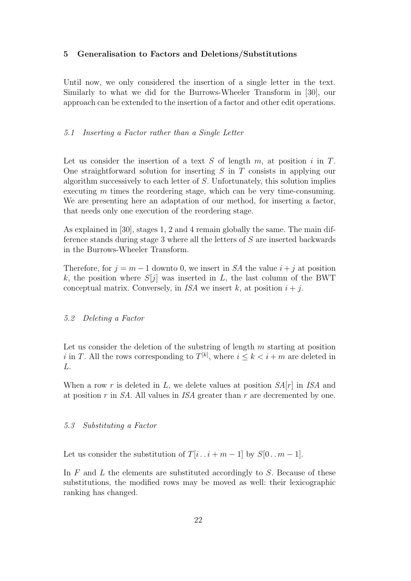## 5 Generalisation to Factors and Deletions/Substitutions

Until now, we only considered the insertion of a single letter in the text. Similarly to what we did for the Burrows-Wheeler Transform in [30], our approach can be extended to the insertion of a factor and other edit operations.

# 5.1 Inserting a Factor rather than a Single Letter

Let us consider the insertion of a text S of length  $m$ , at position i in T. One straightforward solution for inserting  $S$  in  $T$  consists in applying our algorithm successively to each letter of S. Unfortunately, this solution implies executing m times the reordering stage, which can be very time-consuming. We are presenting here an adaptation of our method, for inserting a factor, that needs only one execution of the reordering stage.

As explained in [30], stages 1, 2 and 4 remain globally the same. The main difference stands during stage 3 where all the letters of S are inserted backwards in the Burrows-Wheeler Transform.

Therefore, for  $j = m - 1$  downto 0, we insert in SA the value  $i + j$  at position k, the position where  $S[j]$  was inserted in L, the last column of the BWT conceptual matrix. Conversely, in ISA we insert k, at position  $i + j$ .

# 5.2 Deleting a Factor

Let us consider the deletion of the substring of length  $m$  starting at position i in T. All the rows corresponding to  $T^{[k]}$ , where  $i \leq k < i+m$  are deleted in L.

When a row r is deleted in L, we delete values at position  $SA[r]$  in ISA and at position  $r$  in  $SA$ . All values in  $ISA$  greater than  $r$  are decremented by one.

#### 5.3 Substituting a Factor

Let us consider the substitution of  $T[i \dots i + m - 1]$  by  $S[0 \dots m - 1]$ .

In  $F$  and  $L$  the elements are substituted accordingly to  $S$ . Because of these substitutions, the modified rows may be moved as well: their lexicographic ranking has changed.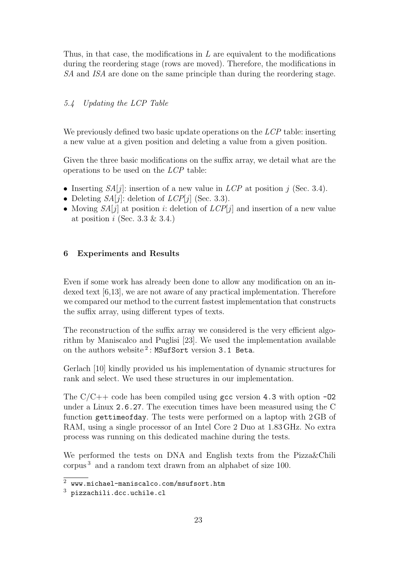Thus, in that case, the modifications in  $L$  are equivalent to the modifications during the reordering stage (rows are moved). Therefore, the modifications in SA and ISA are done on the same principle than during the reordering stage.

# 5.4 Updating the LCP Table

We previously defined two basic update operations on the LCP table: inserting a new value at a given position and deleting a value from a given position.

Given the three basic modifications on the suffix array, we detail what are the operations to be used on the LCP table:

- Inserting  $SA[j]$ : insertion of a new value in  $LCP$  at position j (Sec. 3.4).
- Deleting  $SA[j]$ : deletion of  $LCP[j]$  (Sec. 3.3).
- Moving  $SA[j]$  at position i: deletion of  $LCP[j]$  and insertion of a new value at position  $i$  (Sec. 3.3 & 3.4.)

# 6 Experiments and Results

Even if some work has already been done to allow any modification on an indexed text [6,13], we are not aware of any practical implementation. Therefore we compared our method to the current fastest implementation that constructs the suffix array, using different types of texts.

The reconstruction of the suffix array we considered is the very efficient algorithm by Maniscalco and Puglisi [23]. We used the implementation available on the authors website<sup>2</sup>: MSufSort version 3.1 Beta.

Gerlach [10] kindly provided us his implementation of dynamic structures for rank and select. We used these structures in our implementation.

The  $C/C++$  code has been compiled using gcc version 4.3 with option  $-02$ under a Linux 2.6.27. The execution times have been measured using the C function gettimeofday. The tests were performed on a laptop with 2 GB of RAM, using a single processor of an Intel Core 2 Duo at 1.83 GHz. No extra process was running on this dedicated machine during the tests.

We performed the tests on DNA and English texts from the Pizza&Chili corpus <sup>3</sup> and a random text drawn from an alphabet of size 100.

 $\overline{\text{2} \text{www.michael-maniscalco.com/msufsort.htm}}$ 

<sup>3</sup> pizzachili.dcc.uchile.cl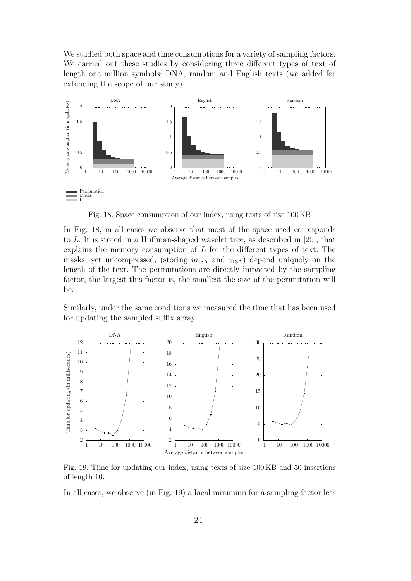We studied both space and time consumptions for a variety of sampling factors. We carried out these studies by considering three different types of text of length one million symbols: DNA, random and English texts (we added for extending the scope of our study).



Fig. 18. Space consumption of our index, using texts of size 100 KB

In Fig. 18, in all cases we observe that most of the space used corresponds to L. It is stored in a Huffman-shaped wavelet tree, as described in [25], that explains the memory consumption of  $L$  for the different types of text. The masks, yet uncompressed, (storing  $m_{\text{ISA}}$  and  $v_{\text{ISA}}$ ) depend uniquely on the length of the text. The permutations are directly impacted by the sampling factor, the largest this factor is, the smallest the size of the permutation will be.

Similarly, under the same conditions we measured the time that has been used for updating the sampled suffix array.



Fig. 19. Time for updating our index, using texts of size 100 KB and 50 insertions of length 10.

In all cases, we observe (in Fig. 19) a local minimum for a sampling factor less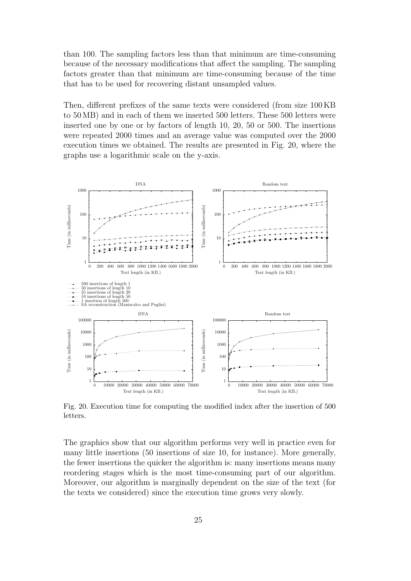than 100. The sampling factors less than that minimum are time-consuming because of the necessary modifications that affect the sampling. The sampling factors greater than that minimum are time-consuming because of the time that has to be used for recovering distant unsampled values.

Then, different prefixes of the same texts were considered (from size 100 KB to 50 MB) and in each of them we inserted 500 letters. These 500 letters were inserted one by one or by factors of length 10, 20, 50 or 500. The insertions were repeated 2000 times and an average value was computed over the 2000 execution times we obtained. The results are presented in Fig. 20, where the graphs use a logarithmic scale on the y-axis.



Fig. 20. Execution time for computing the modified index after the insertion of 500 letters.

The graphics show that our algorithm performs very well in practice even for many little insertions (50 insertions of size 10, for instance). More generally, the fewer insertions the quicker the algorithm is: many insertions means many reordering stages which is the most time-consuming part of our algorithm. Moreover, our algorithm is marginally dependent on the size of the text (for the texts we considered) since the execution time grows very slowly.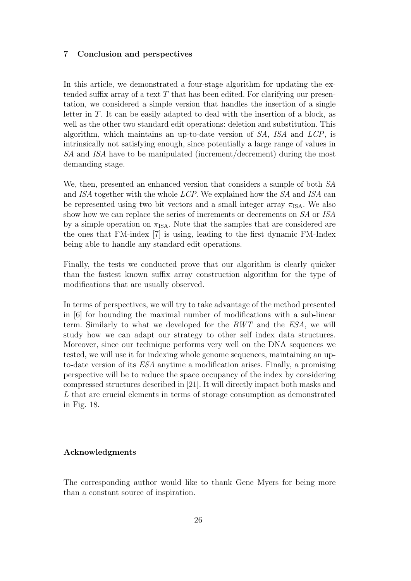### 7 Conclusion and perspectives

In this article, we demonstrated a four-stage algorithm for updating the extended suffix array of a text  $T$  that has been edited. For clarifying our presentation, we considered a simple version that handles the insertion of a single letter in T. It can be easily adapted to deal with the insertion of a block, as well as the other two standard edit operations: deletion and substitution. This algorithm, which maintains an up-to-date version of SA, ISA and LCP, is intrinsically not satisfying enough, since potentially a large range of values in SA and ISA have to be manipulated (increment/decrement) during the most demanding stage.

We, then, presented an enhanced version that considers a sample of both SA and ISA together with the whole LCP. We explained how the SA and ISA can be represented using two bit vectors and a small integer array  $\pi_{\text{ISA}}$ . We also show how we can replace the series of increments or decrements on SA or ISA by a simple operation on  $\pi_{\text{ISA}}$ . Note that the samples that are considered are the ones that FM-index [7] is using, leading to the first dynamic FM-Index being able to handle any standard edit operations.

Finally, the tests we conducted prove that our algorithm is clearly quicker than the fastest known suffix array construction algorithm for the type of modifications that are usually observed.

In terms of perspectives, we will try to take advantage of the method presented in [6] for bounding the maximal number of modifications with a sub-linear term. Similarly to what we developed for the BWT and the ESA, we will study how we can adapt our strategy to other self index data structures. Moreover, since our technique performs very well on the DNA sequences we tested, we will use it for indexing whole genome sequences, maintaining an upto-date version of its ESA anytime a modification arises. Finally, a promising perspective will be to reduce the space occupancy of the index by considering compressed structures described in [21]. It will directly impact both masks and L that are crucial elements in terms of storage consumption as demonstrated in Fig. 18.

#### Acknowledgments

The corresponding author would like to thank Gene Myers for being more than a constant source of inspiration.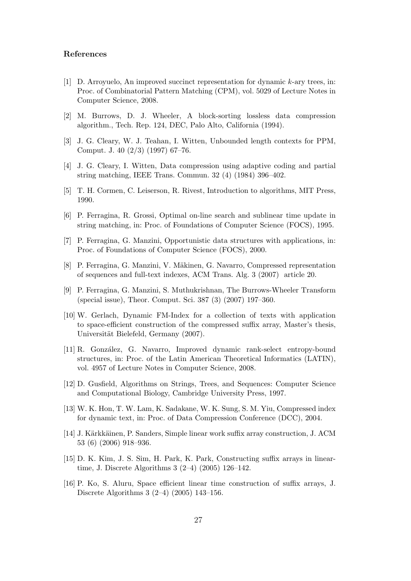## References

- [1] D. Arroyuelo, An improved succinct representation for dynamic k-ary trees, in: Proc. of Combinatorial Pattern Matching (CPM), vol. 5029 of Lecture Notes in Computer Science, 2008.
- [2] M. Burrows, D. J. Wheeler, A block-sorting lossless data compression algorithm., Tech. Rep. 124, DEC, Palo Alto, California (1994).
- [3] J. G. Cleary, W. J. Teahan, I. Witten, Unbounded length contexts for PPM, Comput. J. 40 (2/3) (1997) 67–76.
- [4] J. G. Cleary, I. Witten, Data compression using adaptive coding and partial string matching, IEEE Trans. Commun. 32 (4) (1984) 396–402.
- [5] T. H. Cormen, C. Leiserson, R. Rivest, Introduction to algorithms, MIT Press, 1990.
- [6] P. Ferragina, R. Grossi, Optimal on-line search and sublinear time update in string matching, in: Proc. of Foundations of Computer Science (FOCS), 1995.
- [7] P. Ferragina, G. Manzini, Opportunistic data structures with applications, in: Proc. of Foundations of Computer Science (FOCS), 2000.
- [8] P. Ferragina, G. Manzini, V. Mäkinen, G. Navarro, Compressed representation of sequences and full-text indexes, ACM Trans. Alg. 3 (2007) article 20.
- [9] P. Ferragina, G. Manzini, S. Muthukrishnan, The Burrows-Wheeler Transform (special issue), Theor. Comput. Sci. 387 (3) (2007) 197–360.
- [10] W. Gerlach, Dynamic FM-Index for a collection of texts with application to space-efficient construction of the compressed suffix array, Master's thesis, Universität Bielefeld, Germany (2007).
- [11] R. Gonz´alez, G. Navarro, Improved dynamic rank-select entropy-bound structures, in: Proc. of the Latin American Theoretical Informatics (LATIN), vol. 4957 of Lecture Notes in Computer Science, 2008.
- [12] D. Gusfield, Algorithms on Strings, Trees, and Sequences: Computer Science and Computational Biology, Cambridge University Press, 1997.
- [13] W. K. Hon, T. W. Lam, K. Sadakane, W. K. Sung, S. M. Yiu, Compressed index for dynamic text, in: Proc. of Data Compression Conference (DCC), 2004.
- [14] J. Kärkkäinen, P. Sanders, Simple linear work suffix array construction, J. ACM 53 (6) (2006) 918–936.
- [15] D. K. Kim, J. S. Sim, H. Park, K. Park, Constructing suffix arrays in lineartime, J. Discrete Algorithms 3 (2–4) (2005) 126–142.
- [16] P. Ko, S. Aluru, Space efficient linear time construction of suffix arrays, J. Discrete Algorithms 3 (2–4) (2005) 143–156.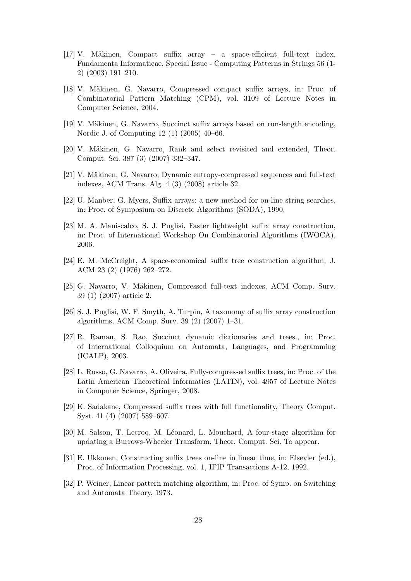- $[17]$  V. Mäkinen, Compact suffix array a space-efficient full-text index, Fundamenta Informaticae, Special Issue - Computing Patterns in Strings 56 (1- 2) (2003) 191–210.
- [18] V. Mäkinen, G. Navarro, Compressed compact suffix arrays, in: Proc. of Combinatorial Pattern Matching (CPM), vol. 3109 of Lecture Notes in Computer Science, 2004.
- [19] V. Mäkinen, G. Navarro, Succinct suffix arrays based on run-length encoding, Nordic J. of Computing 12 (1) (2005) 40–66.
- [20] V. Mäkinen, G. Navarro, Rank and select revisited and extended, Theor. Comput. Sci. 387 (3) (2007) 332–347.
- [21] V. Mäkinen, G. Navarro, Dynamic entropy-compressed sequences and full-text indexes, ACM Trans. Alg. 4 (3) (2008) article 32.
- [22] U. Manber, G. Myers, Suffix arrays: a new method for on-line string searches, in: Proc. of Symposium on Discrete Algorithms (SODA), 1990.
- [23] M. A. Maniscalco, S. J. Puglisi, Faster lightweight suffix array construction, in: Proc. of International Workshop On Combinatorial Algorithms (IWOCA), 2006.
- [24] E. M. McCreight, A space-economical suffix tree construction algorithm, J. ACM 23 (2) (1976) 262–272.
- [25] G. Navarro, V. Mäkinen, Compressed full-text indexes, ACM Comp. Surv. 39 (1) (2007) article 2.
- [26] S. J. Puglisi, W. F. Smyth, A. Turpin, A taxonomy of suffix array construction algorithms, ACM Comp. Surv. 39 (2) (2007) 1–31.
- [27] R. Raman, S. Rao, Succinct dynamic dictionaries and trees., in: Proc. of International Colloquium on Automata, Languages, and Programming (ICALP), 2003.
- [28] L. Russo, G. Navarro, A. Oliveira, Fully-compressed suffix trees, in: Proc. of the Latin American Theoretical Informatics (LATIN), vol. 4957 of Lecture Notes in Computer Science, Springer, 2008.
- [29] K. Sadakane, Compressed suffix trees with full functionality, Theory Comput. Syst. 41 (4) (2007) 589–607.
- [30] M. Salson, T. Lecroq, M. Léonard, L. Mouchard, A four-stage algorithm for updating a Burrows-Wheeler Transform, Theor. Comput. Sci. To appear.
- [31] E. Ukkonen, Constructing suffix trees on-line in linear time, in: Elsevier (ed.), Proc. of Information Processing, vol. 1, IFIP Transactions A-12, 1992.
- [32] P. Weiner, Linear pattern matching algorithm, in: Proc. of Symp. on Switching and Automata Theory, 1973.